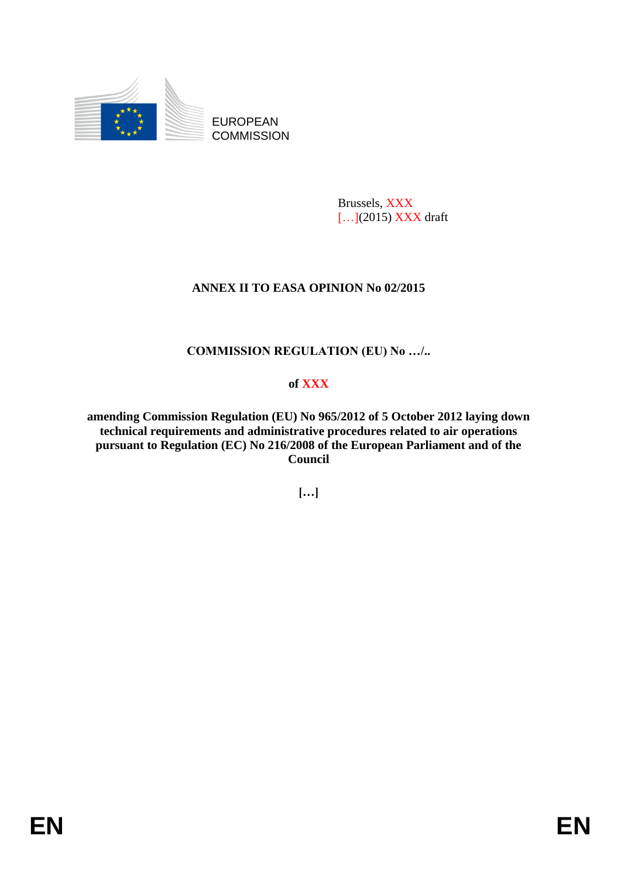

EUROPEAN **COMMISSION** 

> Brussels, XXX [...](2015) XXX draft

# **ANNEX II TO EASA OPINION No 02/2015**

# **COMMISSION REGULATION (EU) No …/..**

# **of XXX**

**amending Commission Regulation (EU) No 965/2012 of 5 October 2012 laying down technical requirements and administrative procedures related to air operations pursuant to Regulation (EC) No 216/2008 of the European Parliament and of the Council**

**[…]**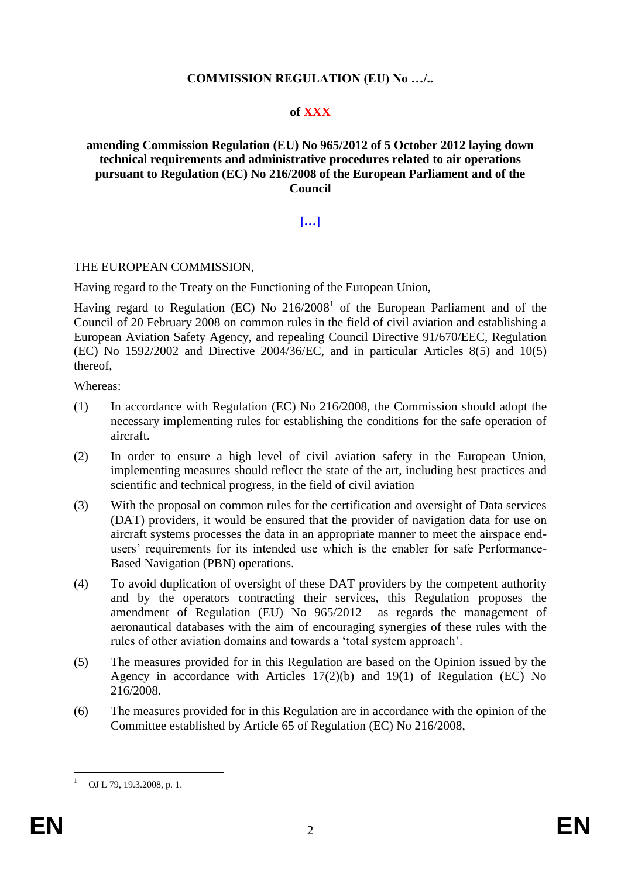#### **COMMISSION REGULATION (EU) No …/..**

#### **of XXX**

#### **amending Commission Regulation (EU) No 965/2012 of 5 October 2012 laying down technical requirements and administrative procedures related to air operations pursuant to Regulation (EC) No 216/2008 of the European Parliament and of the Council**

## **[…]**

#### THE EUROPEAN COMMISSION,

Having regard to the Treaty on the Functioning of the European Union,

Having regard to Regulation (EC) No  $216/2008<sup>1</sup>$  of the European Parliament and of the Council of 20 February 2008 on common rules in the field of civil aviation and establishing a European Aviation Safety Agency, and repealing Council Directive 91/670/EEC, Regulation (EC) No 1592/2002 and Directive 2004/36/EC, and in particular Articles 8(5) and 10(5) thereof,

Whereas:

- (1) In accordance with Regulation (EC) No 216/2008, the Commission should adopt the necessary implementing rules for establishing the conditions for the safe operation of aircraft.
- (2) In order to ensure a high level of civil aviation safety in the European Union, implementing measures should reflect the state of the art, including best practices and scientific and technical progress, in the field of civil aviation
- (3) With the proposal on common rules for the certification and oversight of Data services (DAT) providers, it would be ensured that the provider of navigation data for use on aircraft systems processes the data in an appropriate manner to meet the airspace endusers' requirements for its intended use which is the enabler for safe Performance-Based Navigation (PBN) operations.
- (4) To avoid duplication of oversight of these DAT providers by the competent authority and by the operators contracting their services, this Regulation proposes the amendment of Regulation (EU) No 965/2012 as regards the management of aeronautical databases with the aim of encouraging synergies of these rules with the rules of other aviation domains and towards a 'total system approach'.
- (5) The measures provided for in this Regulation are based on the Opinion issued by the Agency in accordance with Articles 17(2)(b) and 19(1) of Regulation (EC) No 216/2008.
- (6) The measures provided for in this Regulation are in accordance with the opinion of the Committee established by Article 65 of Regulation (EC) No 216/2008,

<u>.</u>

OJ L 79, 19.3.2008, p. 1.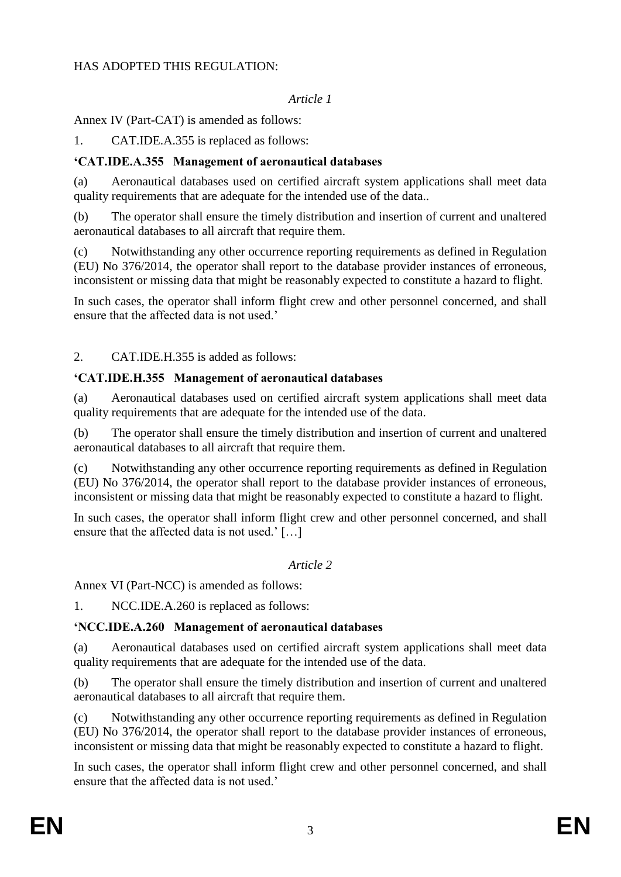### HAS ADOPTED THIS REGULATION:

#### *Article 1*

## Annex IV (Part-CAT) is amended as follows:

1. CAT.IDE.A.355 is replaced as follows:

## **'CAT.IDE.A.355 Management of aeronautical databases**

(a) Aeronautical databases used on certified aircraft system applications shall meet data quality requirements that are adequate for the intended use of the data..

(b) The operator shall ensure the timely distribution and insertion of current and unaltered aeronautical databases to all aircraft that require them.

(c) Notwithstanding any other occurrence reporting requirements as defined in Regulation (EU) No 376/2014, the operator shall report to the database provider instances of erroneous, inconsistent or missing data that might be reasonably expected to constitute a hazard to flight.

In such cases, the operator shall inform flight crew and other personnel concerned, and shall ensure that the affected data is not used.'

2. CAT.IDE.H.355 is added as follows:

#### **'CAT.IDE.H.355 Management of aeronautical databases**

(a) Aeronautical databases used on certified aircraft system applications shall meet data quality requirements that are adequate for the intended use of the data.

(b) The operator shall ensure the timely distribution and insertion of current and unaltered aeronautical databases to all aircraft that require them.

(c) Notwithstanding any other occurrence reporting requirements as defined in Regulation (EU) No 376/2014, the operator shall report to the database provider instances of erroneous, inconsistent or missing data that might be reasonably expected to constitute a hazard to flight.

In such cases, the operator shall inform flight crew and other personnel concerned, and shall ensure that the affected data is not used.' […]

#### *Article 2*

Annex VI (Part-NCC) is amended as follows:

1. NCC.IDE.A.260 is replaced as follows:

# **'NCC.IDE.A.260 Management of aeronautical databases**

(a) Aeronautical databases used on certified aircraft system applications shall meet data quality requirements that are adequate for the intended use of the data.

(b) The operator shall ensure the timely distribution and insertion of current and unaltered aeronautical databases to all aircraft that require them.

(c) Notwithstanding any other occurrence reporting requirements as defined in Regulation (EU) No 376/2014, the operator shall report to the database provider instances of erroneous, inconsistent or missing data that might be reasonably expected to constitute a hazard to flight.

In such cases, the operator shall inform flight crew and other personnel concerned, and shall ensure that the affected data is not used.'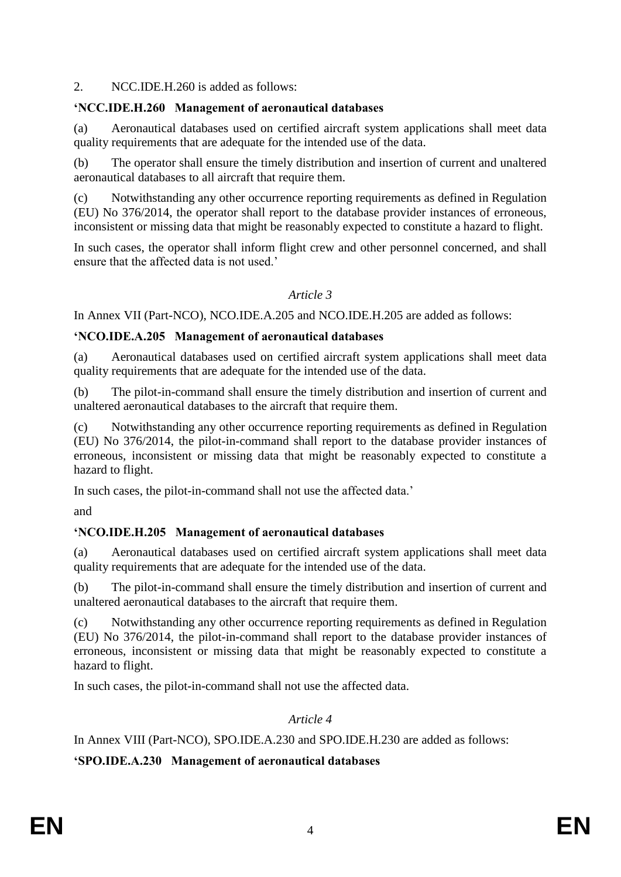2. NCC.IDE.H.260 is added as follows:

## **'NCC.IDE.H.260 Management of aeronautical databases**

(a) Aeronautical databases used on certified aircraft system applications shall meet data quality requirements that are adequate for the intended use of the data.

(b) The operator shall ensure the timely distribution and insertion of current and unaltered aeronautical databases to all aircraft that require them.

(c) Notwithstanding any other occurrence reporting requirements as defined in Regulation (EU) No 376/2014, the operator shall report to the database provider instances of erroneous, inconsistent or missing data that might be reasonably expected to constitute a hazard to flight.

In such cases, the operator shall inform flight crew and other personnel concerned, and shall ensure that the affected data is not used.'

## *Article 3*

In Annex VII (Part-NCO), NCO.IDE.A.205 and NCO.IDE.H.205 are added as follows:

#### **'NCO.IDE.A.205 Management of aeronautical databases**

(a) Aeronautical databases used on certified aircraft system applications shall meet data quality requirements that are adequate for the intended use of the data.

(b) The pilot-in-command shall ensure the timely distribution and insertion of current and unaltered aeronautical databases to the aircraft that require them.

(c) Notwithstanding any other occurrence reporting requirements as defined in Regulation (EU) No 376/2014, the pilot-in-command shall report to the database provider instances of erroneous, inconsistent or missing data that might be reasonably expected to constitute a hazard to flight.

In such cases, the pilot-in-command shall not use the affected data.'

and

# **'NCO.IDE.H.205 Management of aeronautical databases**

(a) Aeronautical databases used on certified aircraft system applications shall meet data quality requirements that are adequate for the intended use of the data.

(b) The pilot-in-command shall ensure the timely distribution and insertion of current and unaltered aeronautical databases to the aircraft that require them.

(c) Notwithstanding any other occurrence reporting requirements as defined in Regulation (EU) No 376/2014, the pilot-in-command shall report to the database provider instances of erroneous, inconsistent or missing data that might be reasonably expected to constitute a hazard to flight.

In such cases, the pilot-in-command shall not use the affected data.

*Article 4*

In Annex VIII (Part-NCO), SPO.IDE.A.230 and SPO.IDE.H.230 are added as follows:

**'SPO.IDE.A.230 Management of aeronautical databases**